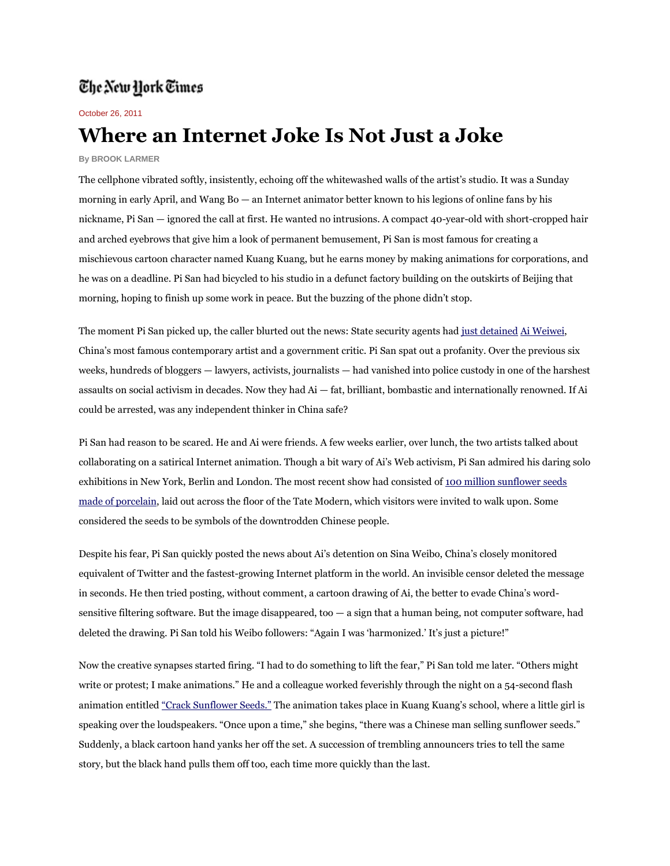## The New Hork Times

### October 26, 2011

# **Where an Internet Joke Is Not Just a Joke**

### **By BROOK LARMER**

The cellphone vibrated softly, insistently, echoing off the whitewashed walls of the artist's studio. It was a Sunday morning in early April, and Wang Bo — an Internet animator better known to his legions of online fans by his nickname, Pi San — ignored the call at first. He wanted no intrusions. A compact 40-year-old with short-cropped hair and arched eyebrows that give him a look of permanent bemusement, Pi San is most famous for creating a mischievous cartoon character named Kuang Kuang, but he earns money by making animations for corporations, and he was on a deadline. Pi San had bicycled to his studio in a defunct factory building on the outskirts of Beijing that morning, hoping to finish up some work in peace. But the buzzing of the phone didn"t stop.

The moment Pi San picked up, the caller blurted out the news: State security agents had [just detained](http://www.nytimes.com/2011/04/04/world/asia/04china.html) [Ai Weiwei,](http://topics.nytimes.com/top/reference/timestopics/people/a/ai_weiwei/index.html?inline=nyt-per) China"s most famous contemporary artist and a government critic. Pi San spat out a profanity. Over the previous six weeks, hundreds of bloggers — lawyers, activists, journalists — had vanished into police custody in one of the harshest assaults on social activism in decades. Now they had  $Ai - fat$ , brilliant, bombastic and internationally renowned. If Ai could be arrested, was any independent thinker in China safe?

Pi San had reason to be scared. He and Ai were friends. A few weeks earlier, over lunch, the two artists talked about collaborating on a satirical Internet animation. Though a bit wary of Ai"s Web activism, Pi San admired his daring solo exhibitions in New York, Berlin and London. The most recent show had consisted of 100 million sunflower seeds [made of porcelain,](http://www.nytimes.com/2010/10/19/arts/design/19sunflower.html) laid out across the floor of the Tate Modern, which visitors were invited to walk upon. Some considered the seeds to be symbols of the downtrodden Chinese people.

Despite his fear, Pi San quickly posted the news about Ai's detention on Sina Weibo, China's closely monitored equivalent of Twitter and the fastest-growing Internet platform in the world. An invisible censor deleted the message in seconds. He then tried posting, without comment, a cartoon drawing of Ai, the better to evade China"s wordsensitive filtering software. But the image disappeared, too — a sign that a human being, not computer software, had deleted the drawing. Pi San told his Weibo followers: "Again I was "harmonized." It"s just a picture!"

Now the creative synapses started firing. "I had to do something to lift the fear," Pi San told me later. "Others might write or protest; I make animations." He and a colleague worked feverishly through the night on a 54-second flash animation entitled ["Crack Sunflower Seeds."](http://asiasociety.org/blog/asia/video-behind-chinas-great-firewall-subversive-content-cartoon-form) The animation takes place in Kuang Kuang's school, where a little girl is speaking over the loudspeakers. "Once upon a time," she begins, "there was a Chinese man selling sunflower seeds." Suddenly, a black cartoon hand yanks her off the set. A succession of trembling announcers tries to tell the same story, but the black hand pulls them off too, each time more quickly than the last.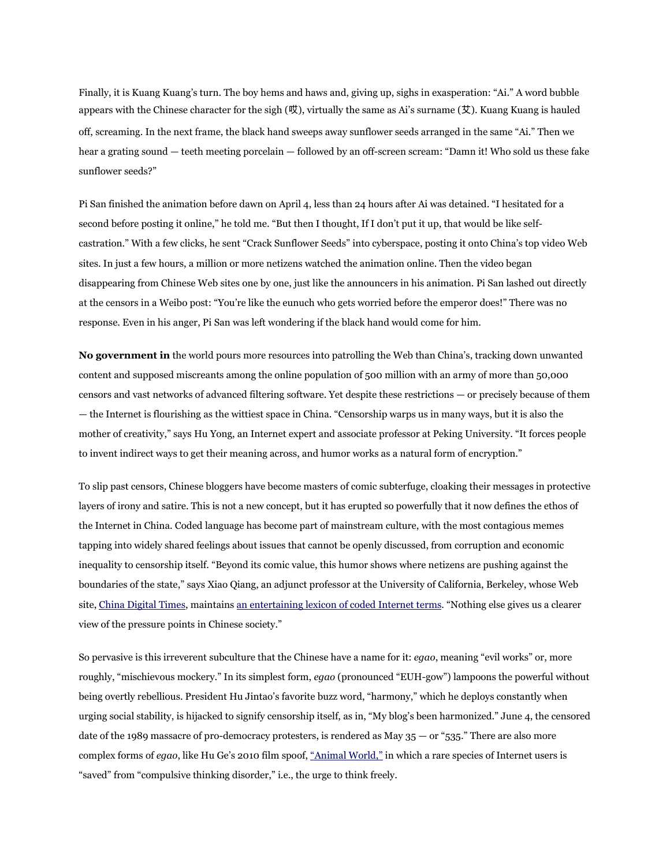Finally, it is Kuang Kuang's turn. The boy hems and haws and, giving up, sighs in exasperation: "Ai." A word bubble appears with the Chinese character for the sigh  $(\nabla)$ , virtually the same as Ai's surname  $(\nabla)$ . Kuang Kuang is hauled off, screaming. In the next frame, the black hand sweeps away sunflower seeds arranged in the same "Ai." Then we hear a grating sound — teeth meeting porcelain — followed by an off-screen scream: "Damn it! Who sold us these fake sunflower seeds?"

Pi San finished the animation before dawn on April 4, less than 24 hours after Ai was detained. "I hesitated for a second before posting it online," he told me. "But then I thought, If I don"t put it up, that would be like selfcastration." With a few clicks, he sent "Crack Sunflower Seeds" into cyberspace, posting it onto China"s top video Web sites. In just a few hours, a million or more netizens watched the animation online. Then the video began disappearing from Chinese Web sites one by one, just like the announcers in his animation. Pi San lashed out directly at the censors in a Weibo post: "You"re like the eunuch who gets worried before the emperor does!" There was no response. Even in his anger, Pi San was left wondering if the black hand would come for him.

**No government in** the world pours more resources into patrolling the Web than China"s, tracking down unwanted content and supposed miscreants among the online population of 500 million with an army of more than 50,000 censors and vast networks of advanced filtering software. Yet despite these restrictions — or precisely because of them — the Internet is flourishing as the wittiest space in China. "Censorship warps us in many ways, but it is also the mother of creativity," says Hu Yong, an Internet expert and associate professor at Peking University. "It forces people to invent indirect ways to get their meaning across, and humor works as a natural form of encryption."

To slip past censors, Chinese bloggers have become masters of comic subterfuge, cloaking their messages in protective layers of irony and satire. This is not a new concept, but it has erupted so powerfully that it now defines the ethos of the Internet in China. Coded language has become part of mainstream culture, with the most contagious memes tapping into widely shared feelings about issues that cannot be openly discussed, from corruption and economic inequality to censorship itself. "Beyond its comic value, this humor shows where netizens are pushing against the boundaries of the state," says Xiao Qiang, an adjunct professor at the University of California, Berkeley, whose Web site, [China Digital Times,](http://chinadigitaltimes.net/) maintains [an entertaining lexicon of coded Internet terms](http://chinadigitaltimes.net/space/Introduction_to_the_Grass-Mud_Horse_Lexicon). "Nothing else gives us a clearer view of the pressure points in Chinese society."

So pervasive is this irreverent subculture that the Chinese have a name for it: *egao*, meaning "evil works" or, more roughly, "mischievous mockery." In its simplest form, *egao* (pronounced "EUH-gow") lampoons the powerful without being overtly rebellious. President Hu Jintao"s favorite buzz word, "harmony," which he deploys constantly when urging social stability, is hijacked to signify censorship itself, as in, "My blog"s been harmonized." June 4, the censored date of the 1989 massacre of pro-democracy protesters, is rendered as May  $35 -$  or "535." There are also more complex forms of *egao*, like Hu Ge's 2010 film spoof, ["Animal World,"](http://chinadigitaltimes.net/2010/02/video-satire-hu-ges-%E8%83%A1%E6%88%88-animal-world-the-apartment-dweller-starring-han-han-%E9%9F%A9%E5%AF%92/) in which a rare species of Internet users is "saved" from "compulsive thinking disorder," i.e., the urge to think freely.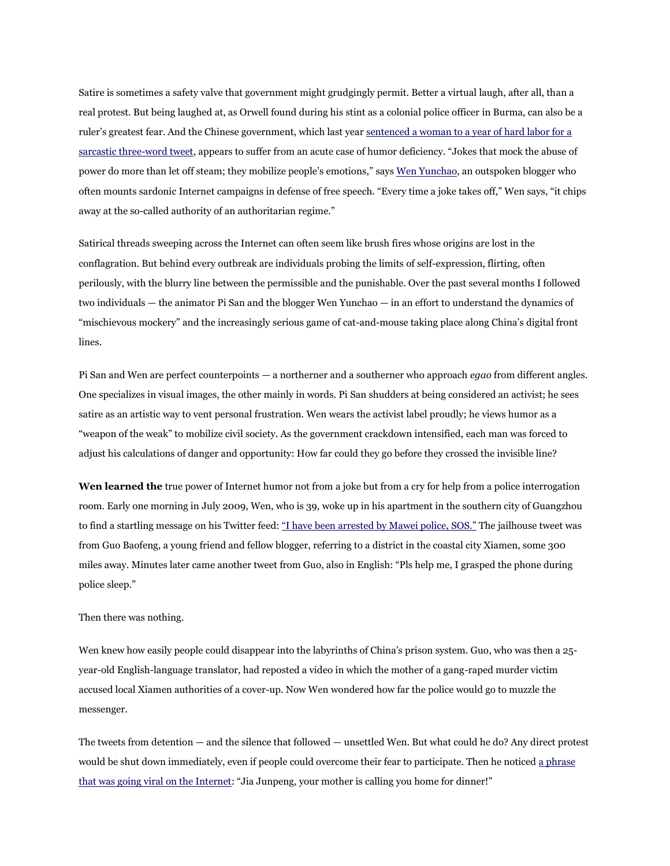Satire is sometimes a safety valve that government might grudgingly permit. Better a virtual laugh, after all, than a real protest. But being laughed at, as Orwell found during his stint as a colonial police officer in Burma, can also be a ruler's greatest fear. And the Chinese government, which last year sentenced a woman to a year of hard labor for a [sarcastic three-word tweet](http://www.nytimes.com/2010/11/19/world/asia/19beijing.html), appears to suffer from an acute case of humor deficiency. "Jokes that mock the abuse of power do more than let off steam; they mobilize people"s emotions," says [Wen Yunchao,](http://wenyunchao.com/) an outspoken blogger who often mounts sardonic Internet campaigns in defense of free speech. "Every time a joke takes off," Wen says, "it chips away at the so-called authority of an authoritarian regime."

Satirical threads sweeping across the Internet can often seem like brush fires whose origins are lost in the conflagration. But behind every outbreak are individuals probing the limits of self-expression, flirting, often perilously, with the blurry line between the permissible and the punishable. Over the past several months I followed two individuals — the animator Pi San and the blogger Wen Yunchao — in an effort to understand the dynamics of "mischievous mockery" and the increasingly serious game of cat-and-mouse taking place along China"s digital front lines.

Pi San and Wen are perfect counterpoints — a northerner and a southerner who approach *egao* from different angles. One specializes in visual images, the other mainly in words. Pi San shudders at being considered an activist; he sees satire as an artistic way to vent personal frustration. Wen wears the activist label proudly; he views humor as a "weapon of the weak" to mobilize civil society. As the government crackdown intensified, each man was forced to adjust his calculations of danger and opportunity: How far could they go before they crossed the invisible line?

**Wen learned the** true power of Internet humor not from a joke but from a cry for help from a police interrogation room. Early one morning in July 2009, Wen, who is 39, woke up in his apartment in the southern city of Guangzhou to find a startling message on his Twitter feed: ["I have been arrested by Mawei police, SOS."](http://twitter.com/#!/amoiist/status/2657651984) The jailhouse tweet was from Guo Baofeng, a young friend and fellow blogger, referring to a district in the coastal city Xiamen, some 300 miles away. Minutes later came another tweet from Guo, also in English: "Pls help me, I grasped the phone during police sleep."

#### Then there was nothing.

Wen knew how easily people could disappear into the labyrinths of China's prison system. Guo, who was then a 25year-old English-language translator, had reposted a video in which the mother of a gang-raped murder victim accused local Xiamen authorities of a cover-up. Now Wen wondered how far the police would go to muzzle the messenger.

The tweets from detention — and the silence that followed — unsettled Wen. But what could he do? Any direct protest would be shut down immediately, even if people could overcome their fear to participate. Then he noticed [a phrase](http://chinadigitaltimes.net/2009/07/guo-baofeng-your-mother-is-calling-you-home-for-dinner%E2%80%9D-with-slideshow/)  [that was going viral on the Internet](http://chinadigitaltimes.net/2009/07/guo-baofeng-your-mother-is-calling-you-home-for-dinner%E2%80%9D-with-slideshow/): "Jia Junpeng, your mother is calling you home for dinner!"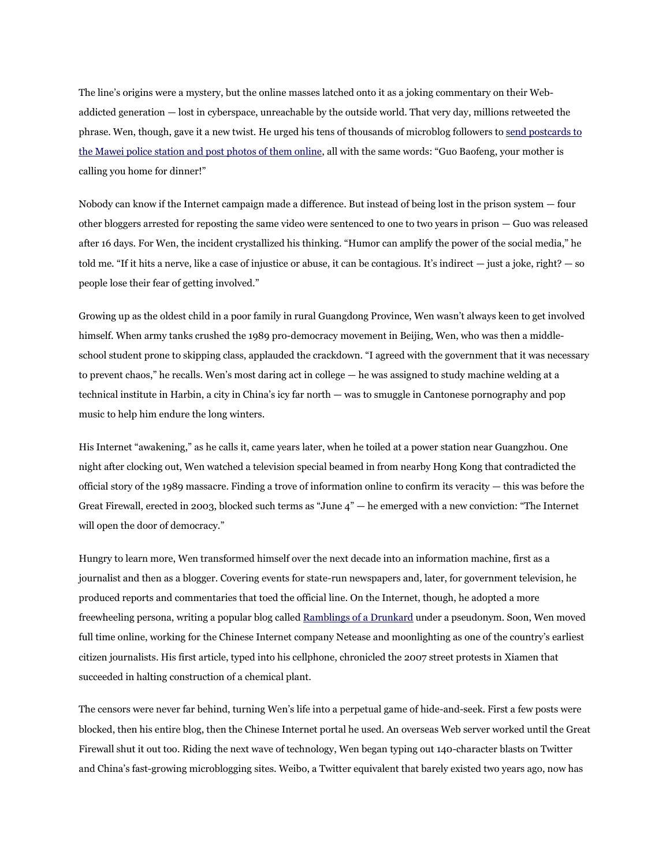The line"s origins were a mystery, but the online masses latched onto it as a joking commentary on their Webaddicted generation — lost in cyberspace, unreachable by the outside world. That very day, millions retweeted the phrase. Wen, though, gave it a new twist. He urged his tens of thousands of microblog followers to [send postcards to](http://advocacy.globalvoicesonline.org/2009/07/24/china-calling-guo-befeng-back-home-for-dinner/)  [the Mawei police station and post photos of them online](http://advocacy.globalvoicesonline.org/2009/07/24/china-calling-guo-befeng-back-home-for-dinner/), all with the same words: "Guo Baofeng, your mother is calling you home for dinner!"

Nobody can know if the Internet campaign made a difference. But instead of being lost in the prison system — four other bloggers arrested for reposting the same video were sentenced to one to two years in prison — Guo was released after 16 days. For Wen, the incident crystallized his thinking. "Humor can amplify the power of the social media," he told me. "If it hits a nerve, like a case of injustice or abuse, it can be contagious. It's indirect  $-$  just a joke, right?  $-$  so people lose their fear of getting involved."

Growing up as the oldest child in a poor family in rural Guangdong Province, Wen wasn"t always keen to get involved himself. When army tanks crushed the 1989 pro-democracy movement in Beijing, Wen, who was then a middleschool student prone to skipping class, applauded the crackdown. "I agreed with the government that it was necessary to prevent chaos," he recalls. Wen"s most daring act in college — he was assigned to study machine welding at a technical institute in Harbin, a city in China"s icy far north — was to smuggle in Cantonese pornography and pop music to help him endure the long winters.

His Internet "awakening," as he calls it, came years later, when he toiled at a power station near Guangzhou. One night after clocking out, Wen watched a television special beamed in from nearby Hong Kong that contradicted the official story of the 1989 massacre. Finding a trove of information online to confirm its veracity — this was before the Great Firewall, erected in 2003, blocked such terms as "June 4" — he emerged with a new conviction: "The Internet will open the door of democracy."

Hungry to learn more, Wen transformed himself over the next decade into an information machine, first as a journalist and then as a blogger. Covering events for state-run newspapers and, later, for government television, he produced reports and commentaries that toed the official line. On the Internet, though, he adopted a more freewheeling persona, writing a popular blog called [Ramblings of a Drunkard](http://wenyc1230.wordpress.com/) under a pseudonym. Soon, Wen moved full time online, working for the Chinese Internet company Netease and moonlighting as one of the country"s earliest citizen journalists. His first article, typed into his cellphone, chronicled the 2007 street protests in Xiamen that succeeded in halting construction of a chemical plant.

The censors were never far behind, turning Wen"s life into a perpetual game of hide-and-seek. First a few posts were blocked, then his entire blog, then the Chinese Internet portal he used. An overseas Web server worked until the Great Firewall shut it out too. Riding the next wave of technology, Wen began typing out 140-character blasts on Twitter and China"s fast-growing microblogging sites. Weibo, a Twitter equivalent that barely existed two years ago, now has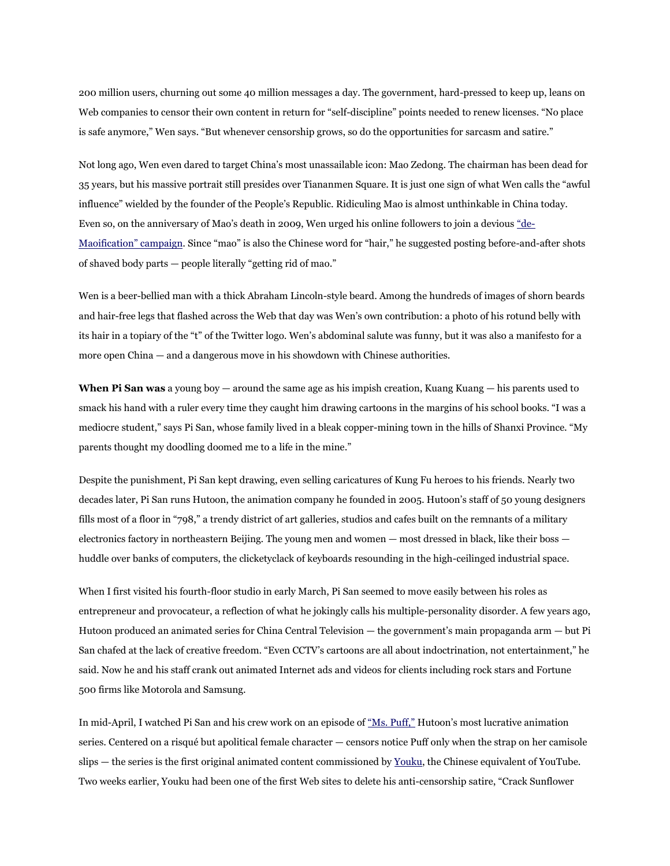200 million users, churning out some 40 million messages a day. The government, hard-pressed to keep up, leans on Web companies to censor their own content in return for "self-discipline" points needed to renew licenses. "No place is safe anymore," Wen says. "But whenever censorship grows, so do the opportunities for sarcasm and satire."

Not long ago, Wen even dared to target China"s most unassailable icon: Mao Zedong. The chairman has been dead for 35 years, but his massive portrait still presides over Tiananmen Square. It is just one sign of what Wen calls the "awful influence" wielded by the founder of the People"s Republic. Ridiculing Mao is almost unthinkable in China today. Even so, on the anniversary of Mao"s death in 2009, Wen urged his online followers to join a devious ["de](http://www.atimes.com/atimes/China/KI17Ad03.html)-[Maoification" campaign.](http://www.atimes.com/atimes/China/KI17Ad03.html) Since "mao" is also the Chinese word for "hair," he suggested posting before-and-after shots of shaved body parts — people literally "getting rid of mao."

Wen is a beer-bellied man with a thick Abraham Lincoln-style beard. Among the hundreds of images of shorn beards and hair-free legs that flashed across the Web that day was Wen"s own contribution: a photo of his rotund belly with its hair in a topiary of the "t" of the Twitter logo. Wen"s abdominal salute was funny, but it was also a manifesto for a more open China — and a dangerous move in his showdown with Chinese authorities.

**When Pi San was** a young boy — around the same age as his impish creation, Kuang Kuang — his parents used to smack his hand with a ruler every time they caught him drawing cartoons in the margins of his school books. "I was a mediocre student," says Pi San, whose family lived in a bleak copper-mining town in the hills of Shanxi Province. "My parents thought my doodling doomed me to a life in the mine."

Despite the punishment, Pi San kept drawing, even selling caricatures of Kung Fu heroes to his friends. Nearly two decades later, Pi San runs Hutoon, the animation company he founded in 2005. Hutoon's staff of 50 young designers fills most of a floor in "798," a trendy district of art galleries, studios and cafes built on the remnants of a military electronics factory in northeastern Beijing. The young men and women — most dressed in black, like their boss huddle over banks of computers, the clicketyclack of keyboards resounding in the high-ceilinged industrial space.

When I first visited his fourth-floor studio in early March, Pi San seemed to move easily between his roles as entrepreneur and provocateur, a reflection of what he jokingly calls his multiple-personality disorder. A few years ago, Hutoon produced an animated series for China Central Television — the government"s main propaganda arm — but Pi San chafed at the lack of creative freedom. "Even CCTV"s cartoons are all about indoctrination, not entertainment," he said. Now he and his staff crank out animated Internet ads and videos for clients including rock stars and Fortune 500 firms like Motorola and Samsung.

In mid-April, I watched Pi San and his crew work on an episode of ["Ms. Puff,"](http://www.prnewswire.com/news-releases/youku-to-launch-chinas-most-ambitious-web-serial-118979624.html) Hutoon's most lucrative animation series. Centered on a risqué but apolitical female character — censors notice Puff only when the strap on her camisole slips — the series is the first original animated content commissioned by [Youku,](http://www.youku.com/) the Chinese equivalent of YouTube. Two weeks earlier, Youku had been one of the first Web sites to delete his anti-censorship satire, "Crack Sunflower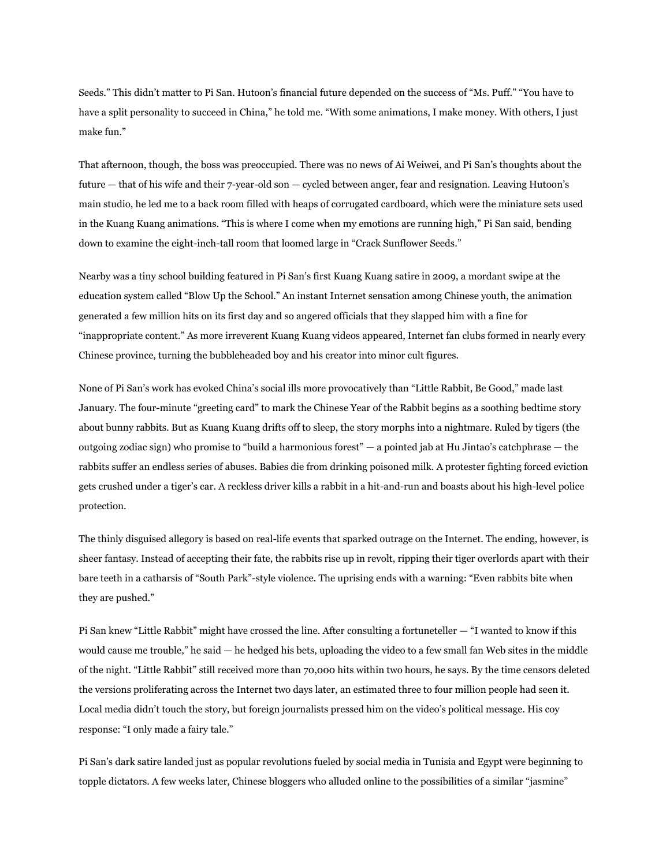Seeds." This didn"t matter to Pi San. Hutoon"s financial future depended on the success of "Ms. Puff." "You have to have a split personality to succeed in China," he told me. "With some animations, I make money. With others, I just make fun."

That afternoon, though, the boss was preoccupied. There was no news of Ai Weiwei, and Pi San"s thoughts about the future — that of his wife and their 7-year-old son — cycled between anger, fear and resignation. Leaving Hutoon"s main studio, he led me to a back room filled with heaps of corrugated cardboard, which were the miniature sets used in the Kuang Kuang animations. "This is where I come when my emotions are running high," Pi San said, bending down to examine the eight-inch-tall room that loomed large in "Crack Sunflower Seeds."

Nearby was a tiny school building featured in Pi San"s first Kuang Kuang satire in 2009, a mordant swipe at the education system called "Blow Up the School." An instant Internet sensation among Chinese youth, the animation generated a few million hits on its first day and so angered officials that they slapped him with a fine for "inappropriate content." As more irreverent Kuang Kuang videos appeared, Internet fan clubs formed in nearly every Chinese province, turning the bubbleheaded boy and his creator into minor cult figures.

None of Pi San"s work has evoked China"s social ills more provocatively than "Little Rabbit, Be Good," made last January. The four-minute "greeting card" to mark the Chinese Year of the Rabbit begins as a soothing bedtime story about bunny rabbits. But as Kuang Kuang drifts off to sleep, the story morphs into a nightmare. Ruled by tigers (the outgoing zodiac sign) who promise to "build a harmonious forest" — a pointed jab at Hu Jintao"s catchphrase — the rabbits suffer an endless series of abuses. Babies die from drinking poisoned milk. A protester fighting forced eviction gets crushed under a tiger"s car. A reckless driver kills a rabbit in a hit-and-run and boasts about his high-level police protection.

The thinly disguised allegory is based on real-life events that sparked outrage on the Internet. The ending, however, is sheer fantasy. Instead of accepting their fate, the rabbits rise up in revolt, ripping their tiger overlords apart with their bare teeth in a catharsis of "South Park"-style violence. The uprising ends with a warning: "Even rabbits bite when they are pushed."

Pi San knew "Little Rabbit" might have crossed the line. After consulting a fortuneteller — "I wanted to know if this would cause me trouble," he said — he hedged his bets, uploading the video to a few small fan Web sites in the middle of the night. "Little Rabbit" still received more than 70,000 hits within two hours, he says. By the time censors deleted the versions proliferating across the Internet two days later, an estimated three to four million people had seen it. Local media didn"t touch the story, but foreign journalists pressed him on the video"s political message. His coy response: "I only made a fairy tale."

Pi San"s dark satire landed just as popular revolutions fueled by social media in Tunisia and Egypt were beginning to topple dictators. A few weeks later, Chinese bloggers who alluded online to the possibilities of a similar "jasmine"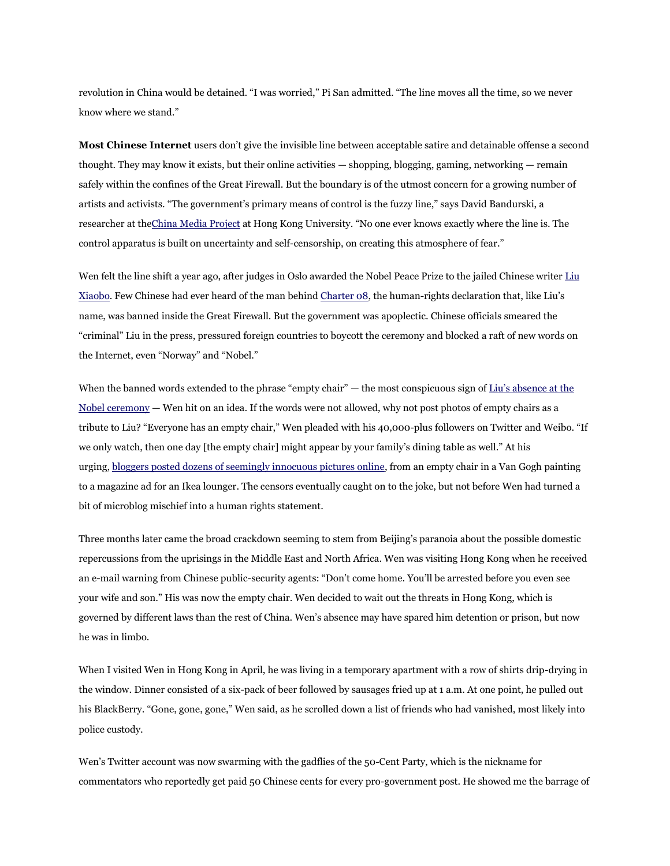revolution in China would be detained. "I was worried," Pi San admitted. "The line moves all the time, so we never know where we stand."

**Most Chinese Internet** users don"t give the invisible line between acceptable satire and detainable offense a second thought. They may know it exists, but their online activities — shopping, blogging, gaming, networking — remain safely within the confines of the Great Firewall. But the boundary is of the utmost concern for a growing number of artists and activists. "The government"s primary means of control is the fuzzy line," says David Bandurski, a researcher at th[eChina Media Project](http://cmp.hku.hk/) at Hong Kong University. "No one ever knows exactly where the line is. The control apparatus is built on uncertainty and self-censorship, on creating this atmosphere of fear."

Wen felt the line shift a year ago, after judges in Oslo awarded the Nobel Peace Prize to the jailed Chinese writer Liu [Xiaobo.](http://www.nytimes.com/2010/10/09/world/09nobel.html) Few Chinese had ever heard of the man behind [Charter 08,](http://www.nybooks.com/articles/archives/2009/jan/15/chinas-charter-08/) the human-rights declaration that, like Liu"s name, was banned inside the Great Firewall. But the government was apoplectic. Chinese officials smeared the "criminal" Liu in the press, pressured foreign countries to boycott the ceremony and blocked a raft of new words on the Internet, even "Norway" and "Nobel."

When the banned words extended to the phrase "empty chair" — the most conspicuous sign of Liu's absence at the [Nobel ceremony](http://www.nytimes.com/2010/12/11/world/europe/11nobel.html) — Wen hit on an idea. If the words were not allowed, why not post photos of empty chairs as a tribute to Liu? "Everyone has an empty chair," Wen pleaded with his 40,000-plus followers on Twitter and Weibo. "If we only watch, then one day [the empty chair] might appear by your family"s dining table as well." At his urging, [bloggers posted dozens of seemingly innocuous pictures online,](http://www.slide.com/r/Ef7g2OKK4j_6OP7UzJeCmpOMPdaj1u5h?previous_view=mscd_embedded_url&view=original) from an empty chair in a Van Gogh painting to a magazine ad for an Ikea lounger. The censors eventually caught on to the joke, but not before Wen had turned a bit of microblog mischief into a human rights statement.

Three months later came the broad crackdown seeming to stem from Beijing"s paranoia about the possible domestic repercussions from the uprisings in the Middle East and North Africa. Wen was visiting Hong Kong when he received an e-mail warning from Chinese public-security agents: "Don"t come home. You"ll be arrested before you even see your wife and son." His was now the empty chair. Wen decided to wait out the threats in Hong Kong, which is governed by different laws than the rest of China. Wen"s absence may have spared him detention or prison, but now he was in limbo.

When I visited Wen in Hong Kong in April, he was living in a temporary apartment with a row of shirts drip-drying in the window. Dinner consisted of a six-pack of beer followed by sausages fried up at 1 a.m. At one point, he pulled out his BlackBerry. "Gone, gone, gone," Wen said, as he scrolled down a list of friends who had vanished, most likely into police custody.

Wen"s Twitter account was now swarming with the gadflies of the 50-Cent Party, which is the nickname for commentators who reportedly get paid 50 Chinese cents for every pro-government post. He showed me the barrage of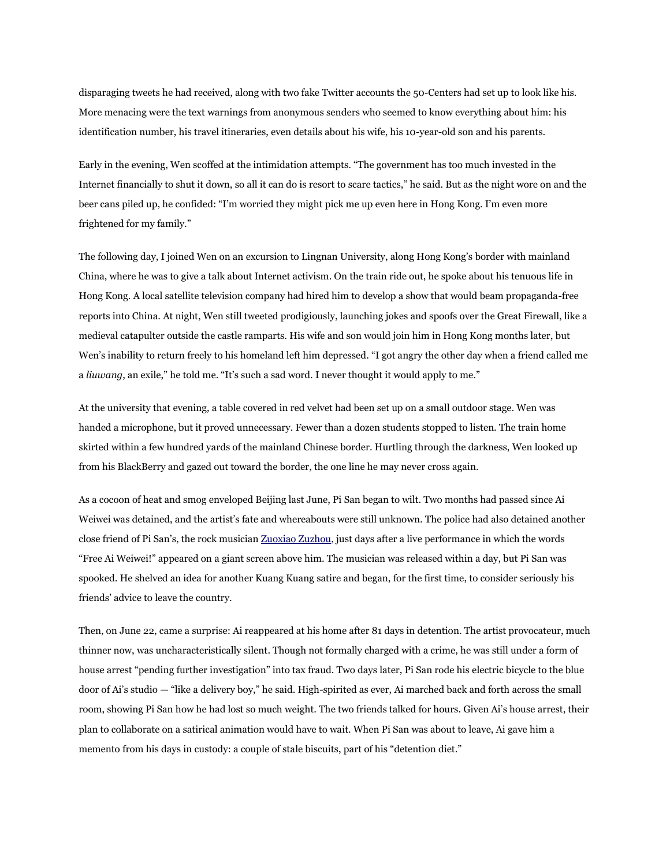disparaging tweets he had received, along with two fake Twitter accounts the 50-Centers had set up to look like his. More menacing were the text warnings from anonymous senders who seemed to know everything about him: his identification number, his travel itineraries, even details about his wife, his 10-year-old son and his parents.

Early in the evening, Wen scoffed at the intimidation attempts. "The government has too much invested in the Internet financially to shut it down, so all it can do is resort to scare tactics," he said. But as the night wore on and the beer cans piled up, he confided: "I"m worried they might pick me up even here in Hong Kong. I"m even more frightened for my family."

The following day, I joined Wen on an excursion to Lingnan University, along Hong Kong"s border with mainland China, where he was to give a talk about Internet activism. On the train ride out, he spoke about his tenuous life in Hong Kong. A local satellite television company had hired him to develop a show that would beam propaganda-free reports into China. At night, Wen still tweeted prodigiously, launching jokes and spoofs over the Great Firewall, like a medieval catapulter outside the castle ramparts. His wife and son would join him in Hong Kong months later, but Wen"s inability to return freely to his homeland left him depressed. "I got angry the other day when a friend called me a *liuwang*, an exile," he told me. "It's such a sad word. I never thought it would apply to me."

At the university that evening, a table covered in red velvet had been set up on a small outdoor stage. Wen was handed a microphone, but it proved unnecessary. Fewer than a dozen students stopped to listen. The train home skirted within a few hundred yards of the mainland Chinese border. Hurtling through the darkness, Wen looked up from his BlackBerry and gazed out toward the border, the one line he may never cross again.

As a cocoon of heat and smog enveloped Beijing last June, Pi San began to wilt. Two months had passed since Ai Weiwei was detained, and the artist"s fate and whereabouts were still unknown. The police had also detained another close friend of Pi San"s, the rock musician [Zuoxiao Zuzhou,](http://www.nytimes.com/2011/04/30/world/asia/30briefs-China.html) just days after a live performance in which the words "Free Ai Weiwei!" appeared on a giant screen above him. The musician was released within a day, but Pi San was spooked. He shelved an idea for another Kuang Kuang satire and began, for the first time, to consider seriously his friends" advice to leave the country.

Then, on June 22, came a surprise: Ai reappeared at his home after 81 days in detention. The artist provocateur, much thinner now, was uncharacteristically silent. Though not formally charged with a crime, he was still under a form of house arrest "pending further investigation" into tax fraud. Two days later, Pi San rode his electric bicycle to the blue door of Ai"s studio — "like a delivery boy," he said. High-spirited as ever, Ai marched back and forth across the small room, showing Pi San how he had lost so much weight. The two friends talked for hours. Given Ai"s house arrest, their plan to collaborate on a satirical animation would have to wait. When Pi San was about to leave, Ai gave him a memento from his days in custody: a couple of stale biscuits, part of his "detention diet."